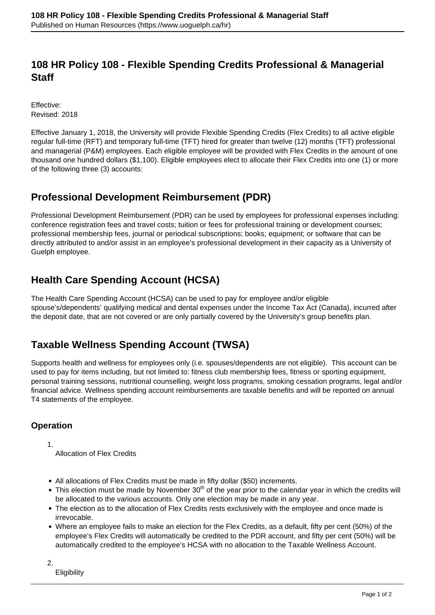## **108 HR Policy 108 - Flexible Spending Credits Professional & Managerial Staff**

Effective: Revised: 2018

Effective January 1, 2018, the University will provide Flexible Spending Credits (Flex Credits) to all active eligible regular full-time (RFT) and temporary full-time (TFT) hired for greater than twelve (12) months (TFT) professional and managerial (P&M) employees. Each eligible employee will be provided with Flex Credits in the amount of one thousand one hundred dollars (\$1,100). Eligible employees elect to allocate their Flex Credits into one (1) or more of the following three (3) accounts:

### **Professional Development Reimbursement (PDR)**

Professional Development Reimbursement (PDR) can be used by employees for professional expenses including: conference registration fees and travel costs; tuition or fees for professional training or development courses; professional membership fees, journal or periodical subscriptions; books; equipment; or software that can be directly attributed to and/or assist in an employee's professional development in their capacity as a University of Guelph employee.

# **Health Care Spending Account (HCSA)**

The Health Care Spending Account (HCSA) can be used to pay for employee and/or eligible spouse's/dependents' qualifying medical and dental expenses under the Income Tax Act (Canada), incurred after the deposit date, that are not covered or are only partially covered by the University's group benefits plan.

# **Taxable Wellness Spending Account (TWSA)**

Supports health and wellness for employees only (i.e. spouses/dependents are not eligible). This account can be used to pay for items including, but not limited to: fitness club membership fees, fitness or sporting equipment, personal training sessions, nutritional counselling, weight loss programs, smoking cessation programs, legal and/or financial advice. Wellness spending account reimbursements are taxable benefits and will be reported on annual T4 statements of the employee.

#### **Operation**

1.

Allocation of Flex Credits

- All allocations of Flex Credits must be made in fifty dollar (\$50) increments.
- This election must be made by November  $30<sup>th</sup>$  of the year prior to the calendar year in which the credits will be allocated to the various accounts. Only one election may be made in any year.
- The election as to the allocation of Flex Credits rests exclusively with the employee and once made is irrevocable.
- Where an employee fails to make an election for the Flex Credits, as a default, fifty per cent (50%) of the employee's Flex Credits will automatically be credited to the PDR account, and fifty per cent (50%) will be automatically credited to the employee's HCSA with no allocation to the Taxable Wellness Account.

2.

**Eligibility**